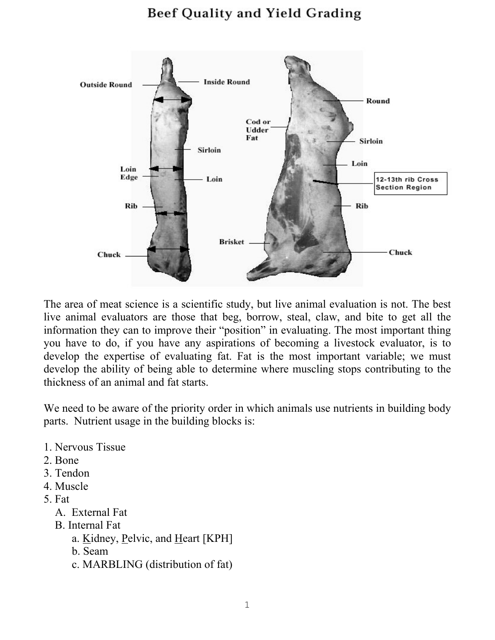## Beef Quality and Yield Grading



The area of meat science is a scientific study, but live animal evaluation is not. The best live animal evaluators are those that beg, borrow, steal, claw, and bite to get all the information they can to improve their "position" in evaluating. The most important thing you have to do, if you have any aspirations of becoming a livestock evaluator, is to develop the expertise of evaluating fat. Fat is the most important variable; we must develop the ability of being able to determine where muscling stops contributing to the thickness of an animal and fat starts.

We need to be aware of the priority order in which animals use nutrients in building body parts. Nutrient usage in the building blocks is:

- 1. Nervous Tissue
- 2. Bone
- 3. Tendon
- 4. Muscle
- 5. Fat
	- A. External Fat
	- B. Internal Fat
		- a. Kidney, Pelvic, and Heart [KPH]
		- b. Seam
		- c. MARBLING (distribution of fat)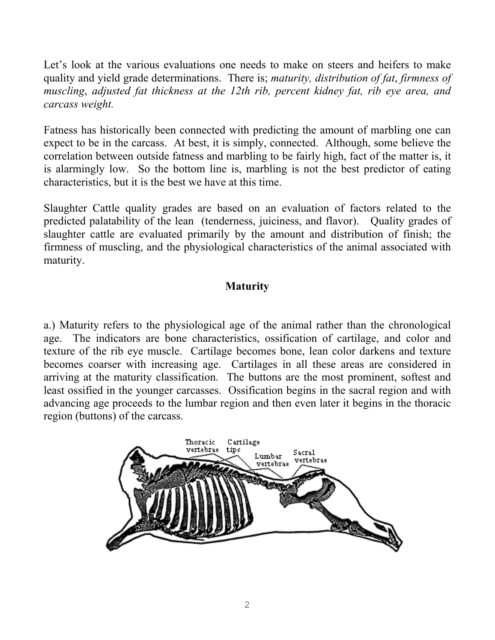Let's look at the various evaluations one needs to make on steers and heifers to make quality and yield grade determinations. There is; *maturity, distribution of fat*, *firmness of muscling*, *adjusted fat thickness at the 12th rib, percent kidney fat, rib eye area, and carcass weight.* 

Fatness has historically been connected with predicting the amount of marbling one can expect to be in the carcass. At best, it is simply, connected. Although, some believe the correlation between outside fatness and marbling to be fairly high, fact of the matter is, it is alarmingly low. So the bottom line is, marbling is not the best predictor of eating characteristics, but it is the best we have at this time.

Slaughter Cattle quality grades are based on an evaluation of factors related to the predicted palatability of the lean (tenderness, juiciness, and flavor). Quality grades of slaughter cattle are evaluated primarily by the amount and distribution of finish; the firmness of muscling, and the physiological characteristics of the animal associated with maturity.

## **Maturity**

a.) Maturity refers to the physiological age of the animal rather than the chronological age. The indicators are bone characteristics, ossification of cartilage, and color and texture of the rib eye muscle. Cartilage becomes bone, lean color darkens and texture becomes coarser with increasing age. Cartilages in all these areas are considered in arriving at the maturity classification. The buttons are the most prominent, softest and least ossified in the younger carcasses. Ossification begins in the sacral region and with advancing age proceeds to the lumbar region and then even later it begins in the thoracic region (buttons) of the carcass.

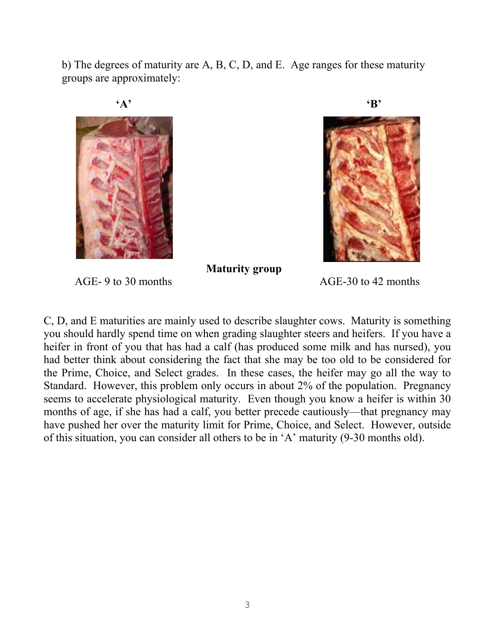b) The degrees of maturity are A, B, C, D, and E. Age ranges for these maturity groups are approximately:





 **Maturity group** 

AGE- 9 to 30 months AGE-30 to 42 months

C, D, and E maturities are mainly used to describe slaughter cows. Maturity is something you should hardly spend time on when grading slaughter steers and heifers. If you have a heifer in front of you that has had a calf (has produced some milk and has nursed), you had better think about considering the fact that she may be too old to be considered for the Prime, Choice, and Select grades. In these cases, the heifer may go all the way to Standard. However, this problem only occurs in about 2% of the population. Pregnancy seems to accelerate physiological maturity. Even though you know a heifer is within 30 months of age, if she has had a calf, you better precede cautiously—that pregnancy may have pushed her over the maturity limit for Prime, Choice, and Select. However, outside of this situation, you can consider all others to be in 'A' maturity (9-30 months old).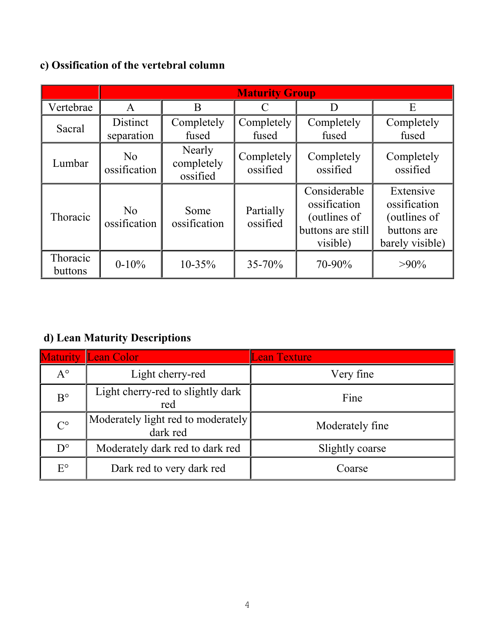## **c) Ossification of the vertebral column**

|                     | <b>Maturity Group</b>          |                                  |                        |                                                                               |                                                                             |  |
|---------------------|--------------------------------|----------------------------------|------------------------|-------------------------------------------------------------------------------|-----------------------------------------------------------------------------|--|
| Vertebrae           | A                              | B                                | C                      |                                                                               | Е                                                                           |  |
| Sacral              | <b>Distinct</b><br>separation  | Completely<br>fused              | Completely<br>fused    | Completely<br>fused                                                           | Completely<br>fused                                                         |  |
| Lumbar              | N <sub>0</sub><br>ossification | Nearly<br>completely<br>ossified | Completely<br>ossified | Completely<br>ossified                                                        | Completely<br>ossified                                                      |  |
| Thoracic            | No<br>ossification             | Some<br>ossification             | Partially<br>ossified  | Considerable<br>ossification<br>(outlines of<br>buttons are still<br>visible) | Extensive<br>ossification<br>(outlines of<br>buttons are<br>barely visible) |  |
| Thoracic<br>buttons | $0-10%$                        | $10 - 35\%$                      | $35 - 70%$             | 70-90%                                                                        | $>90\%$                                                                     |  |

## **d) Lean Maturity Descriptions**

|             | <b>Maturity Lean Color</b>                     | <b>Lean Texture</b> |
|-------------|------------------------------------------------|---------------------|
| $A^{\circ}$ | Light cherry-red                               | Very fine           |
| $B^{\circ}$ | Light cherry-red to slightly dark<br>red       | Fine                |
| $C^{\circ}$ | Moderately light red to moderately<br>dark red | Moderately fine     |
| $D^{\circ}$ | Moderately dark red to dark red                | Slightly coarse     |
| $E^{\circ}$ | Dark red to very dark red                      | Coarse              |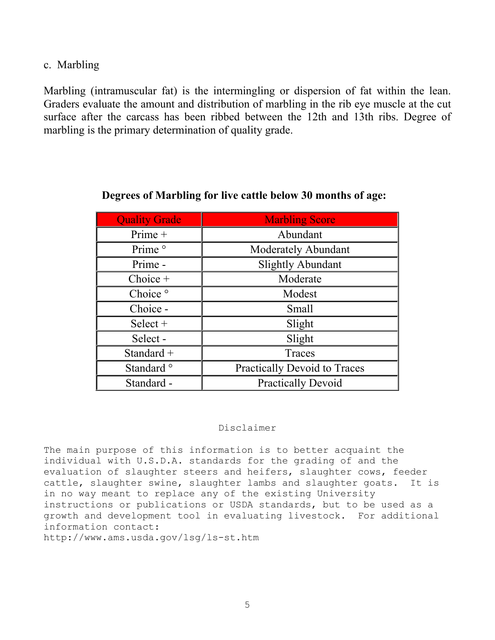c. Marbling

Marbling (intramuscular fat) is the intermingling or dispersion of fat within the lean. Graders evaluate the amount and distribution of marbling in the rib eye muscle at the cut surface after the carcass has been ribbed between the 12th and 13th ribs. Degree of marbling is the primary determination of quality grade.

| <b>Quality Grade</b>  | <b>Marbling Score</b>               |  |  |
|-----------------------|-------------------------------------|--|--|
| $Prime +$             | Abundant                            |  |  |
| Prime <sup>o</sup>    | <b>Moderately Abundant</b>          |  |  |
| Prime -               | <b>Slightly Abundant</b>            |  |  |
| $Choice +$            | Moderate                            |  |  |
| Choice <sup>o</sup>   | Modest                              |  |  |
| Choice -              | Small                               |  |  |
| Select $+$            | Slight                              |  |  |
| Select-               | Slight                              |  |  |
| Standard $+$          | Traces                              |  |  |
| Standard <sup>o</sup> | <b>Practically Devoid to Traces</b> |  |  |
| Standard -            | <b>Practically Devoid</b>           |  |  |

### **Degrees of Marbling for live cattle below 30 months of age:**

#### Disclaimer

The main purpose of this information is to better acquaint the individual with U.S.D.A. standards for the grading of and the evaluation of slaughter steers and heifers, slaughter cows, feeder cattle, slaughter swine, slaughter lambs and slaughter goats. It is in no way meant to replace any of the existing University instructions or publications or USDA standards, but to be used as a growth and development tool in evaluating livestock. For additional information contact:

http://www.ams.usda.gov/lsg/ls-st.htm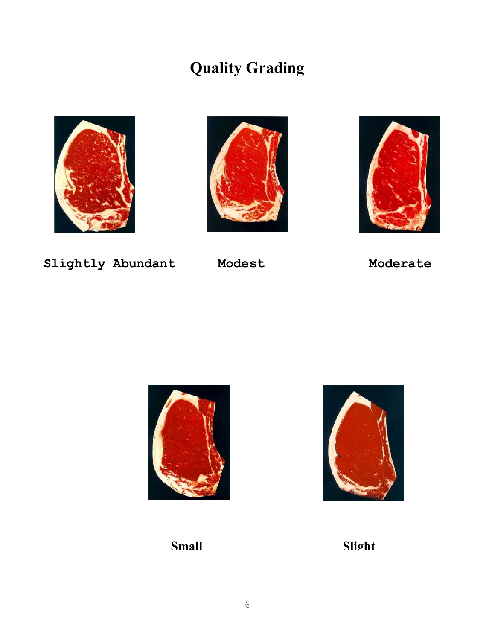# **Quality Grading**







**Slightly Abundant Modest Moderate** 





**Small Slight**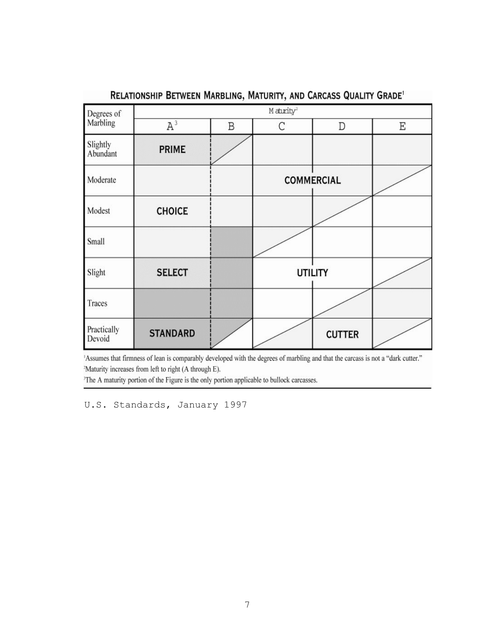| Degrees of            | $M$ aturity <sup>2</sup> |   |   |                   |   |  |  |
|-----------------------|--------------------------|---|---|-------------------|---|--|--|
| Marbling              | $A^3$                    | B | C | D                 | Ε |  |  |
| Slightly<br>Abundant  | <b>PRIME</b>             |   |   |                   |   |  |  |
| Moderate              |                          |   |   | <b>COMMERCIAL</b> |   |  |  |
| Modest                | <b>CHOICE</b>            |   |   |                   |   |  |  |
| Small                 |                          |   |   |                   |   |  |  |
| Slight                | <b>SELECT</b>            |   |   | <b>UTILITY</b>    |   |  |  |
| Traces                |                          |   |   |                   |   |  |  |
| Practically<br>Devoid | <b>STANDARD</b>          |   |   | <b>CUTTER</b>     |   |  |  |

### RELATIONSHIP BETWEEN MARBLING, MATURITY, AND CARCASS QUALITY GRADE<sup>1</sup>

'Assumes that firmness of lean is comparably developed with the degrees of marbling and that the carcass is not a "dark cutter." <sup>2</sup>Maturity increases from left to right (A through E).

<sup>3</sup>The A maturity portion of the Figure is the only portion applicable to bullock carcasses.

U.S. Standards, January 1997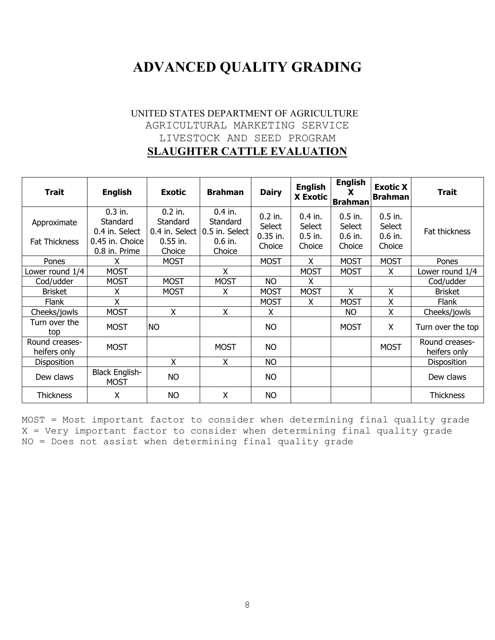## **ADVANCED QUALITY GRADING**

### UNITED STATES DEPARTMENT OF AGRICULTURE AGRICULTURAL MARKETING SERVICE LIVESTOCK AND SEED PROGRAM **SLAUGHTER CATTLE EVALUATION**

| <b>Trait</b>                        | <b>English</b>                                                              | <b>Exotic</b>                                 | <b>Brahman</b>                                                                     | <b>Dairy</b>                                       | <b>English</b><br><b>X Exotic</b>          | <b>English</b><br>X<br><b>Brahman</b>      | <b>Exotic X</b><br><b>Brahman</b>          | <b>Trait</b>                   |
|-------------------------------------|-----------------------------------------------------------------------------|-----------------------------------------------|------------------------------------------------------------------------------------|----------------------------------------------------|--------------------------------------------|--------------------------------------------|--------------------------------------------|--------------------------------|
| Approximate<br><b>Fat Thickness</b> | $0.3$ in.<br>Standard<br>0.4 in. Select<br>0.45 in. Choice<br>0.8 in. Prime | $0.2$ in.<br>Standard<br>$0.55$ in.<br>Choice | $0.4$ in.<br>Standard<br>$0.4$ in. Select $ 0.5$ in. Select<br>$0.6$ in.<br>Choice | $0.2$ in.<br><b>Select</b><br>$0.35$ in.<br>Choice | $0.4$ in.<br>Select<br>$0.5$ in.<br>Choice | $0.5$ in.<br>Select<br>$0.6$ in.<br>Choice | $0.5$ in.<br>Select<br>$0.6$ in.<br>Choice | Fat thickness                  |
| Pones                               | x                                                                           | <b>MOST</b>                                   |                                                                                    | <b>MOST</b>                                        | x                                          | <b>MOST</b>                                | <b>MOST</b>                                | Pones                          |
| Lower round 1/4                     | <b>MOST</b>                                                                 |                                               | X                                                                                  |                                                    | <b>MOST</b>                                | <b>MOST</b>                                | X                                          | Lower round 1/4                |
| Cod/udder                           | <b>MOST</b>                                                                 | <b>MOST</b>                                   | <b>MOST</b>                                                                        | <b>NO</b>                                          | x                                          |                                            |                                            | Cod/udder                      |
| <b>Brisket</b>                      | Χ                                                                           | <b>MOST</b>                                   | x                                                                                  | <b>MOST</b>                                        | <b>MOST</b>                                | X                                          | X                                          | <b>Brisket</b>                 |
| <b>Flank</b>                        | X                                                                           |                                               |                                                                                    | <b>MOST</b>                                        | X                                          | <b>MOST</b>                                | X                                          | Flank                          |
| Cheeks/jowls                        | <b>MOST</b>                                                                 | $\sf X$                                       | X                                                                                  | X                                                  |                                            | NO.                                        | X                                          | Cheeks/jowls                   |
| Turn over the<br>top                | <b>MOST</b>                                                                 | <b>NO</b>                                     |                                                                                    | <b>NO</b>                                          |                                            | <b>MOST</b>                                | X                                          | Turn over the top              |
| Round creases-<br>heifers only      | <b>MOST</b>                                                                 |                                               | <b>MOST</b>                                                                        | <b>NO</b>                                          |                                            |                                            | <b>MOST</b>                                | Round creases-<br>heifers only |
| <b>Disposition</b>                  |                                                                             | X                                             | X                                                                                  | <b>NO</b>                                          |                                            |                                            |                                            | Disposition                    |
| Dew claws                           | <b>Black English-</b><br><b>MOST</b>                                        | <b>NO</b>                                     |                                                                                    | <b>NO</b>                                          |                                            |                                            |                                            | Dew claws                      |
| <b>Thickness</b>                    | X                                                                           | <b>NO</b>                                     | X                                                                                  | <b>NO</b>                                          |                                            |                                            |                                            | <b>Thickness</b>               |

MOST = Most important factor to consider when determining final quality grade X = Very important factor to consider when determining final quality grade NO = Does not assist when determining final quality grade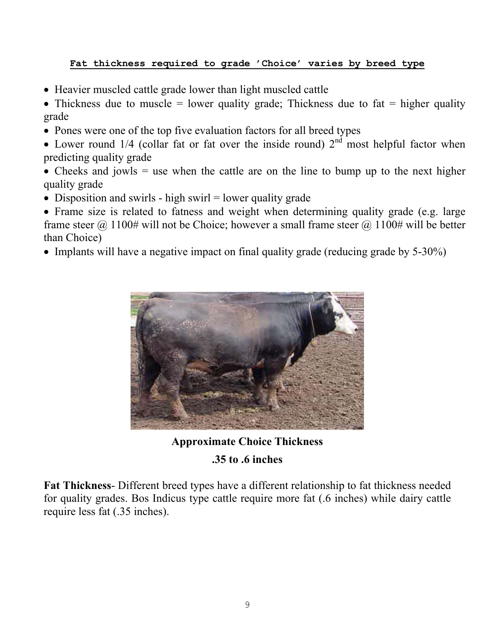### **Fat thickness required to grade 'Choice' varies by breed type**

- Heavier muscled cattle grade lower than light muscled cattle
- Thickness due to muscle = lower quality grade; Thickness due to fat = higher quality grade
- Pones were one of the top five evaluation factors for all breed types
- Lower round  $1/4$  (collar fat or fat over the inside round)  $2<sup>nd</sup>$  most helpful factor when predicting quality grade
- Cheeks and jowls  $=$  use when the cattle are on the line to bump up to the next higher quality grade
- Disposition and swirls high swirl = lower quality grade
- Frame size is related to fatness and weight when determining quality grade (e.g. large frame steer  $\omega$  1100# will not be Choice; however a small frame steer  $\omega$  1100# will be better than Choice)
- Implants will have a negative impact on final quality grade (reducing grade by 5-30%)



**Approximate Choice Thickness .35 to .6 inches** 

**Fat Thickness**- Different breed types have a different relationship to fat thickness needed for quality grades. Bos Indicus type cattle require more fat (.6 inches) while dairy cattle require less fat (.35 inches).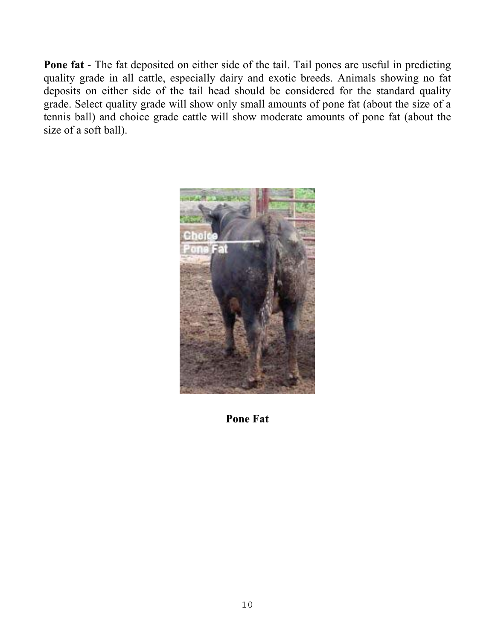**Pone fat** - The fat deposited on either side of the tail. Tail pones are useful in predicting quality grade in all cattle, especially dairy and exotic breeds. Animals showing no fat deposits on either side of the tail head should be considered for the standard quality grade. Select quality grade will show only small amounts of pone fat (about the size of a tennis ball) and choice grade cattle will show moderate amounts of pone fat (about the size of a soft ball).



**Pone Fat**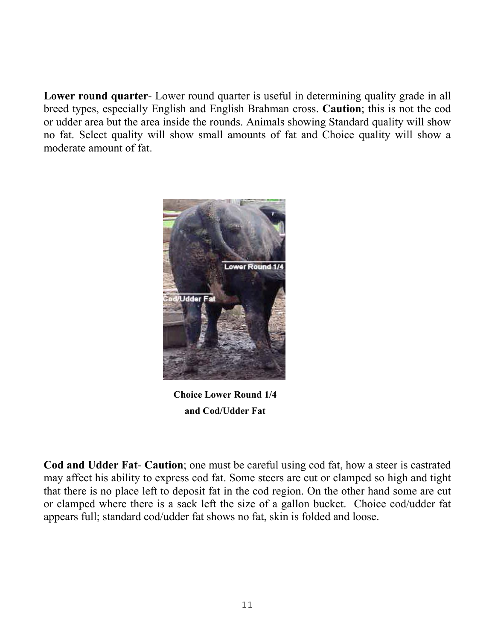**Lower round quarter**- Lower round quarter is useful in determining quality grade in all breed types, especially English and English Brahman cross. **Caution**; this is not the cod or udder area but the area inside the rounds. Animals showing Standard quality will show no fat. Select quality will show small amounts of fat and Choice quality will show a moderate amount of fat.



**Choice Lower Round 1/4 and Cod/Udder Fat** 

**Cod and Udder Fat**- **Caution**; one must be careful using cod fat, how a steer is castrated may affect his ability to express cod fat. Some steers are cut or clamped so high and tight that there is no place left to deposit fat in the cod region. On the other hand some are cut or clamped where there is a sack left the size of a gallon bucket. Choice cod/udder fat appears full; standard cod/udder fat shows no fat, skin is folded and loose.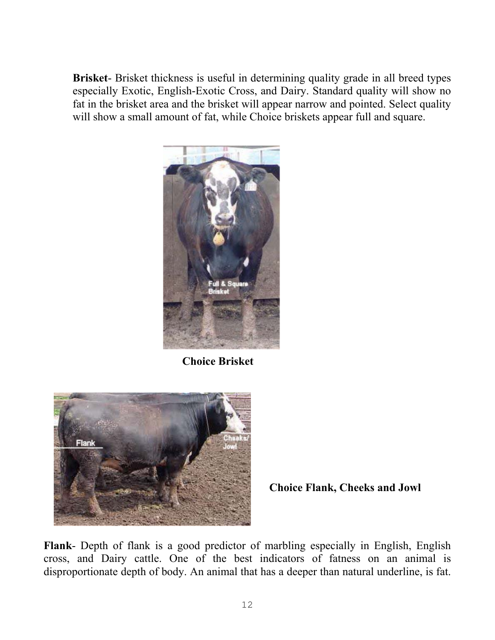**Brisket**- Brisket thickness is useful in determining quality grade in all breed types especially Exotic, English-Exotic Cross, and Dairy. Standard quality will show no fat in the brisket area and the brisket will appear narrow and pointed. Select quality will show a small amount of fat, while Choice briskets appear full and square.



**Choice Brisket** 



**Choice Flank, Cheeks and Jowl**

**Flank**- Depth of flank is a good predictor of marbling especially in English, English cross, and Dairy cattle. One of the best indicators of fatness on an animal is disproportionate depth of body. An animal that has a deeper than natural underline, is fat.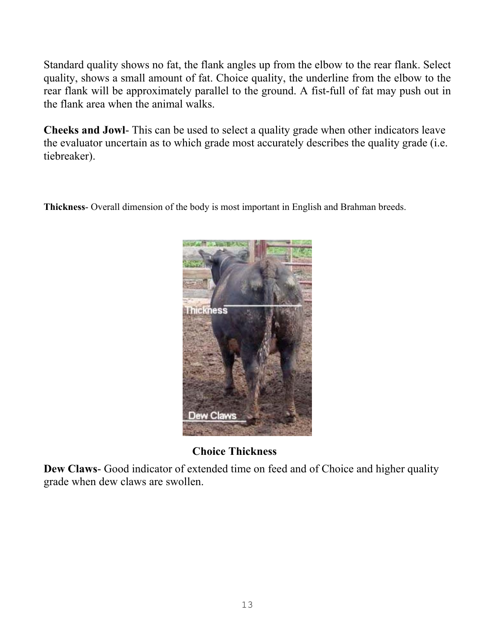Standard quality shows no fat, the flank angles up from the elbow to the rear flank. Select quality, shows a small amount of fat. Choice quality, the underline from the elbow to the rear flank will be approximately parallel to the ground. A fist-full of fat may push out in the flank area when the animal walks.

**Cheeks and Jowl**- This can be used to select a quality grade when other indicators leave the evaluator uncertain as to which grade most accurately describes the quality grade (i.e. tiebreaker).

**Thickness**- Overall dimension of the body is most important in English and Brahman breeds.



**Choice Thickness** 

**Dew Claws**- Good indicator of extended time on feed and of Choice and higher quality grade when dew claws are swollen.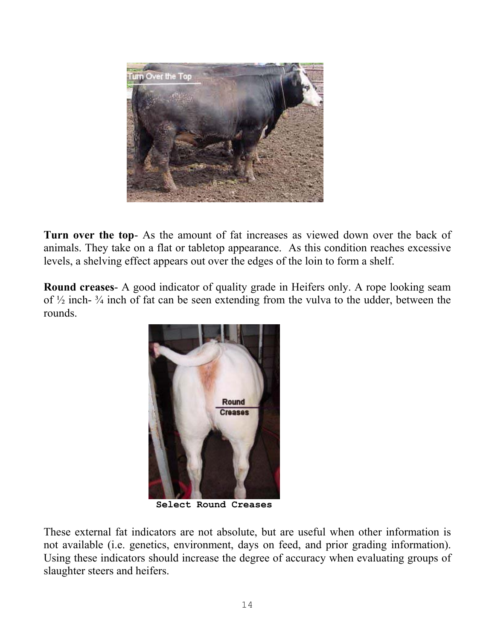

**Turn over the top**- As the amount of fat increases as viewed down over the back of animals. They take on a flat or tabletop appearance. As this condition reaches excessive levels, a shelving effect appears out over the edges of the loin to form a shelf.

**Round creases**- A good indicator of quality grade in Heifers only. A rope looking seam of  $\frac{1}{2}$  inch-  $\frac{3}{4}$  inch of fat can be seen extending from the vulva to the udder, between the rounds.



**Select Round Creases**

These external fat indicators are not absolute, but are useful when other information is not available (i.e. genetics, environment, days on feed, and prior grading information). Using these indicators should increase the degree of accuracy when evaluating groups of slaughter steers and heifers.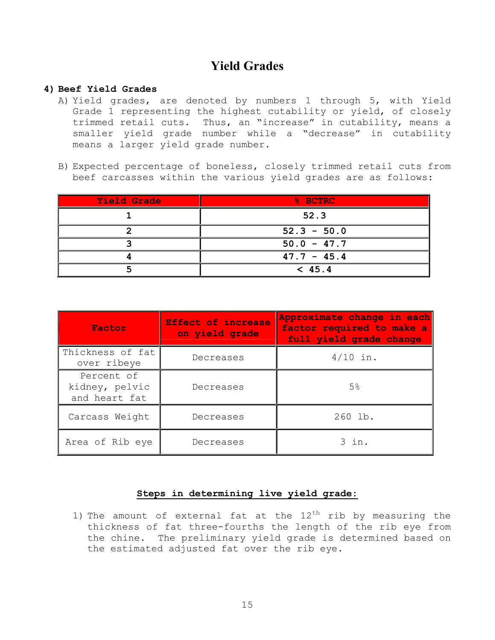## **Yield Grades**

#### **4) Beef Yield Grades**

- A) Yield grades, are denoted by numbers 1 through 5, with Yield Grade 1 representing the highest cutability or yield, of closely trimmed retail cuts. Thus, an "increase" in cutability, means a smaller yield grade number while a "decrease" in cutability means a larger yield grade number.
- B) Expected percentage of boneless, closely trimmed retail cuts from beef carcasses within the various yield grades are as follows:

| Yield Grade | % BCTRC       |  |
|-------------|---------------|--|
|             | 52.3          |  |
|             | $52.3 - 50.0$ |  |
|             | $50.0 - 47.7$ |  |
|             | $47.7 - 45.4$ |  |
|             | < 45.4        |  |

| Factor                                        | <b>Effect of increase</b><br>on yield grade | Approximate change in each<br>factor required to make a<br>full yield grade change |  |
|-----------------------------------------------|---------------------------------------------|------------------------------------------------------------------------------------|--|
| Thickness of fat<br>over ribeye               | Decreases                                   | $4/10$ in.                                                                         |  |
| Percent of<br>kidney, pelvic<br>and heart fat | Decreases                                   | 5 <sup>°</sup>                                                                     |  |
| Carcass Weight                                | Decreases                                   | 260 lb.                                                                            |  |
| Area of Rib eye                               | Decreases                                   | $3$ in.                                                                            |  |

#### **Steps in determining live yield grade:**

1) The amount of external fat at the  $12^{th}$  rib by measuring the thickness of fat three-fourths the length of the rib eye from the chine. The preliminary yield grade is determined based on the estimated adjusted fat over the rib eye.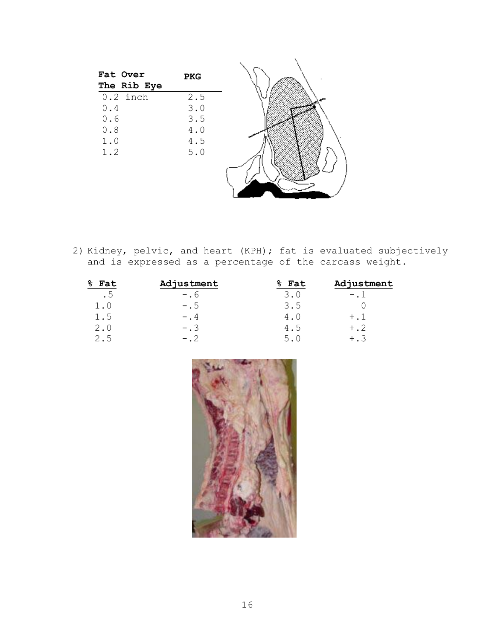| Fat Over<br>The Rib Eye | <b>PKG</b> |  |
|-------------------------|------------|--|
| $0.2$ inch              | 2.5        |  |
| $0.4$                   | 3.0        |  |
| 0.6                     | 3.5        |  |
| $0.8$                   | $4.0$      |  |
| $1.0$                   | $4.5$      |  |
| 1.2                     | $5.0$      |  |
|                         |            |  |
|                         |            |  |
|                         |            |  |
|                         |            |  |

2) Kidney, pelvic, and heart (KPH); fat is evaluated subjectively and is expressed as a percentage of the carcass weight.

| Fat<br>ች | Adjustment  | Fat<br>ዱ | Adjustment    |
|----------|-------------|----------|---------------|
| . 5      | $- \cdot 6$ | 3.0      | $-$ . $\perp$ |
| 1.0      | $- .5$      | 3.5      |               |
| 1.5      | $-$ .4      | 4.0      | $+$ . $1$     |
| 2.0      | $- . 3$     | 4.5      | $+$ .2        |
| 2.5      | $-$ . 2     | 5.0      | $+$ . 3       |

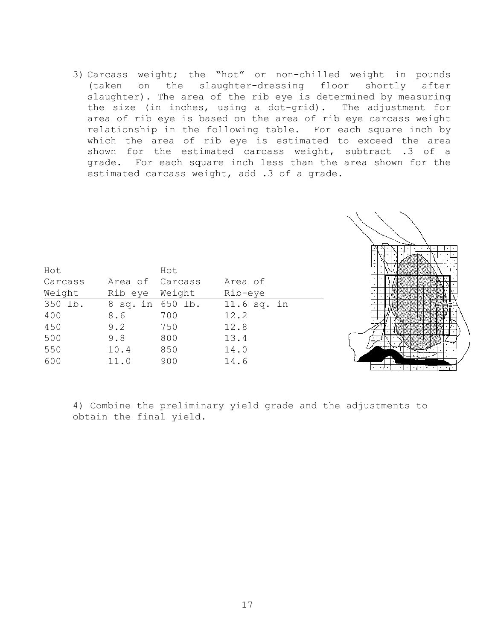3) Carcass weight; the "hot" or non-chilled weight in pounds (taken on the slaughter-dressing floor shortly after slaughter). The area of the rib eye is determined by measuring the size (in inches, using a dot-grid). The adjustment for area of rib eye is based on the area of rib eye carcass weight relationship in the following table. For each square inch by which the area of rib eye is estimated to exceed the area shown for the estimated carcass weight, subtract .3 of a grade. For each square inch less than the area shown for the estimated carcass weight, add .3 of a grade.



| Hot     |                  | Hot    |             |
|---------|------------------|--------|-------------|
| Carcass | Area of Carcass  |        | Area of     |
| Weight  | Rib eye          | Weight | Rib-eye     |
| 350 lb. | 8 sq. in 650 lb. |        | 11.6 sq. in |
| 400     | 8.6              | 700    | 12.2        |
| 450     | 9.2              | 750    | 12.8        |
| 500     | 9.8              | 800    | 13.4        |
| 550     | 10.4             | 850    | 14.0        |
| 600     | 11.0             | 900    | 14.6        |

4) Combine the preliminary yield grade and the adjustments to obtain the final yield.